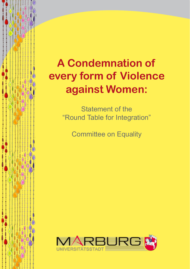# **A Condemnation of every form of Violence against Women:**

Statement of the "Round Table for Integration"

Committee on Equality

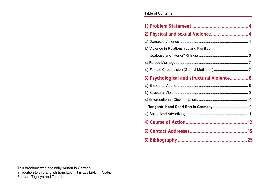| <b>Table of Contents</b> |  |
|--------------------------|--|
|--------------------------|--|

| b) Violence in Relationships and Families |  |
|-------------------------------------------|--|
|                                           |  |
|                                           |  |
|                                           |  |
| 3) Psychological and structural Violence8 |  |
|                                           |  |
|                                           |  |
|                                           |  |
|                                           |  |
|                                           |  |
|                                           |  |
|                                           |  |
|                                           |  |

This brochure was originally written in German. In addition to this English translation, it is available in Arabic, Persian, Tigrinya and Turkish.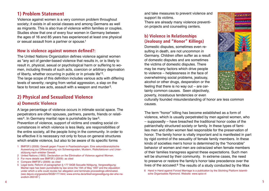# **1) Problem Statement**

Violence against women is a very common problem throughout society; it exists in all social classes and among Germans as well as migrants. This is also true of violence within families or couples. Studies show that one of every four women in Germany between the ages of 16 and 85 years has experienced at least one physical or sexual assault from a partner or spouse.1

#### **How is violence against women defined?:**

The United Nations Organization defines violence against women as "any act of gender-based violence that results in, or is likely to result in, physical, sexual or psychological harm or suffering to women, including threats of such acts, coercion or arbitrary deprivation of liberty, whether occurring in public or in private life"<sup>2</sup>. The large scope of this definition includes various acts with differing levels of severity; ranging from verbal aggression, a slap on the face to forced sex acts, assault with a weapon and murder<sup>3</sup>.

# **2) Physical and Sexualized Violence**

### **a) Domestic Violence**

A large percentage of violence occurs in intimate social space. The perpetrators are often spouses, partners, parents, friends or relatives<sup>4</sup>. In Germany marital rape is punishable by law<sup>5</sup>.

Prevention of violence, support of victims and creating social circumstances in which violence is less likely, are responsibilities of the entire society, all the people living in the community. In order to be effective it is necessary not only to focus on general structures which enable violence, but also to be aware of its specific forms

- 1 BMFSFJ (2009): Gewalt gegen Frauen in Paarbeziehungen. Eine sekundäranalytische Auswertung zur Differenzierung von Schweregraden, Mustern, Risikofaktoren und Unterstützung nach erlebter Gewalt.
- 2 United Nations (1993): Declaration on the Elimination of Violence against Women.
- 3 For more details see BMFSFJ (2009): as cited
- 4 Compare BMFSFJ (2009): as cited
- 5 Legal texts; Reform of paragraphen § 177 StGB Sexuelle Nötigung, Vergewaltigung: Marital rape has been punishable by law since the 15th of May 1997 and the stipulation under which a wife could revoke her allegation and terminate proceedings elliminated. (see dejure.org/gesetze/StGB/177.html; www.emma.de/artikel/vergewaltigung-der-ehe-naendlich-265187.)

and take measures to prevent violence and support its victims.

There are already many violence prevention projects and counseling centers.

### **b) Violence in Relationships (Jealousy and "Honor" Killings)**

Domestic disputes, sometimes even resulting in death, are not uncommon in Germany. Children often suffer as a result of domestic disputes and are sometimes the victims of domestic disputes. There may be many factors which drive people to violence – helplessness in the face of overwhelming social problems, jealousy, alcohol or other drugs, desperation or the feeling that there is no way out – are certainly common causes. Seen objectively, poverty, incestuous tendencies or even



culturally founded misunderstanding of honor are less common causes.

The term "honor" killing has become established as a form of violence, which is usually perpetrated by men against women, who – supposedly – have breached the traditional honor codex of the patriarchally structured society or family. In these types of families men and often women feel responsible for the preservation of honor. The family honor is vitally important and is manifested in part by rigid control of the sexuality of female family members. In these kinds of societies men's honor is determined by the "honorable" behavior of women and men are ostracized when female members of their families transgress against these expectations. Such men will be shunned by their community. In extreme cases, the need to preserve or restore the family's honor take precedence over the lives of the accused. $6$  The results of a study conducted by the Max

6 Hand in Hand against Forced Marriage is a publication by the Stichting Platform Islamitische Organisaties Rijnmond. Website: www.spior.nl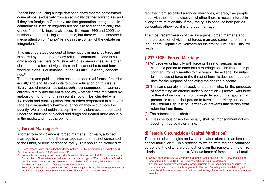Planck Institute using a large database show that the perpetrators come almost exclusively from an ethnically defined lower class and if they are foreign to Germany, are first generation immigrants. In communities in which migrants are socially and economically integrated, "honor" killings rarely occur. Between 1996 and 2005 the number of "honor" killings did not rise, but there was an increase in media attention on "honor" killings in the context of the debate on integration."<sup>7</sup>

This misunderstood concept of honor exists in many cultures and is shared by members of many religious communities and is not only among members of Muslim religious communities, as is often claimed. It is a form of vigilantism and is cannot be traced back to world religions. For instance, in the Qur'an $8$  it is clearly condemned  $9$ .

The media and public opinion should condemn all forms of murder equally and should contribute to public education on this issue. Every type of murder has catastrophic consequences for women, children, family and the entire society, whether it was motivated by jealousy or honor. For this reason it shouldn't be tolerated when the media and public opinion treat murders perpetrated in a jealous rage as comparatively harmless, although they occur more frequently. We also shouldn't accept it when violent acts perpetrated under the influence of alcohol and drugs are treated more casually in the media and in public opinion.

#### **c) Forced Marriages**<sup>10</sup>

Another form of violence is forced marriage. Formally, a forced marriage is when one of the marriage partners has not consented to the union, or feels coerced to marry. This should be clearly diffe-

- 
- 8 Qur›an Sura 4 Verse 93, Sura 5 Verse 32
- 9 For additional reading we recommend: Oberwittler, D. / Kasselt, J. (2011). Ehrenmorde in Deutschland. Eine systematische Untersuchung ehrbezogener Tötungsdelikte in Familien und Partnerschaften zwischen 1996 und 2005 (Polizei + Forschung, Bd. 42, hrsg. vom Bundeskriminalamt). Köln: Wolters Kluwer Deutschland.
- 10 For additional reading we recommend: Hand in Hand against Forced Marriage a publication of the Stichting Platform Islamitische Organisaties Rijnmond (NL). Website: www.spior.nl

rentiated from so-called arranged marriages, whereby two people meet with the intent to discover whether there is mutual interest in a long-term relationship. If they marry, it is because both parties 11, consented, otherwise, it is a forced marriage.

The most recent version of the law against forced marriage and for the protection of victims of forced marriage came into effect in the Federal Republic of Germany on the first of July, 2011. This law reads:

#### **§ 237 StGB: Forced Marriage**

- **(1)** Whosoever unlawfully with force or threat of serious harm causes a person to enter into a marriage shall be liable to imprisonment from six months to five years. The act shall be unlawful if the use of force or the threat of harm is deemed inappropriate for the purpose of achieving the desired outcome.
- **(2)** The same penalty shall apply to a person who, for the purposes of committing an offense under subsection (1) above, with force or threat of serious harm or through deception, transports that person, or causes that person to travel to a territory outside the Federal Republic of Germany or prevents that person from returning from there.
- **(3)** The attempt is punishable
- **(4)** In less serious cases the penalty shall be imprisonment not exceeding three years or a fine.

#### **d) Female Circumcision (Genital Mutilation)**

The circumcision of girls and women – also referred to as female genital mutilation  $12 -$  is a practice by which, with regional variations, portions of the clitoris are cut out, or even the removal of the entire clitoris of the clitoris are cut out, of even the refritoval of the entire end of the refrom the refrience of the entire forms of female genital muti-<br>8 Quran Sura 5 Verse 93, Sura 5 Verse 32

- 11 Gaby Straßburger (2005): Zwangsheirat und arrangierte Ehe zur Schwierigkeit einer Abgrenzung. In: BMFSFJ (Hg.): Zwangsverheiratung in Deutschland.
- 12 For communication with victims the term "circumcision" is recommended because it is more neutral and doesn't imply judgement. The term "female genital mutilation" (FGM) may offend, however is used for in educational settings because it conveys an appropriate severity.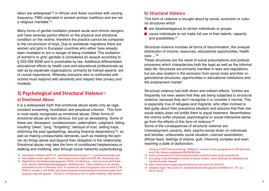lation are widespread 13 in African and Asian countries with varying frequency. FMG originated in ancient archaic traditions and are not a religious mandate.14

Many forms of genital mutilation present acute and chronic dangers and have severely painful effects on the physical and emotional condition on the victims; therefore the practice cannot be compared to the circumcision of boys. Due to worldwide migrations there are women and girls in European countries who either have already been mutilated or are in danger of being mutilated. The mutilation of women's or girls' genitals is considered an assault according to § 223-228 StGB and is punishable by law. Additional differentiated educational efforts by health care and educational professionals as well as by expatriate organizations, primarily by trained experts, are of crucial importance. Whereby everyone who is confronted with victims must respond with sensitivity and respect their privacy and modesty.

# **3) Psychological and Structural Violence**<sup>15</sup>

#### **a) Emotional Abuse**

It is a widespread myth that emotional abuse exists only as rage, constant screaming, humiliation and perpetual criticism. This form is most easily recognized as emotional abuse. Other forms of emotional abuse are less obvious, but just as devastating. Some of these are: disrespect, condescension, paternalism, judgment, telling insulting "jokes", lying, "forgetting", betrayal of trust, setting traps, distorting the past (gaslighting), abusing financial dependency  $16$ , as well as making unreasonable demands, such as insisting the partner do things above and beyond their obligation in the relationship. Emotional abuse may take the form of conditioned helplessness or stalking and mobbing, also through social networks (cyberbullying).

- 13 www.target-nehberg.de/HP-01\_genitaleVerstuemmelung/u1-1\_Laenderkarte/index.php
- 14 www.target-human-rights.com; www.target-human-rights.com/HP-08\_fatwa/index.php
- 15 Allgemeines Gleichbehandlungsgesetz (AGG) und Mobbing; www.hensche.de/Arbeitsrecht\_aktuell\_Gleichbehandlungsgesetz\_Mobbing.html. Cyber mobbing is not directly punishable by law in Germany, but it is covered by other paragraphs such as insult § 185 StGB or slander § 186 StGB. http://www.klicksafe.de/themen/kommunizieren/cyber-mobbing/was-sagt-das-gesetz/. Doxing is considered a form of cyber mobbing. http://lexikon.

#### **b) Structural Violence**

This form of violence is brought about by social, economic or cultural structures which

- $\blacksquare$  are disadvantageous to certain individuals or groups
- cause individuals to not make full use of their talents, capacity and possibilities.17

Structural violence includes all forms of discrimination, the unequal distribution of income, resources, educational opportunities, health care  $\ldots$ <sup>18</sup>

These structures are the result of social presumptions and political processes which characterizes both the legal as well as the informal daily life. Structures are primarily manifest in laws and regulations, but are also evident in the exclusion from social clubs and their organizational structures, opportunities in educational institutions and the employment market.

Structural violence has both direct and indirect effects. Victims are frequently not even aware that they are being subjected to structural violence, because they don't recognize it or consider it normal. This is especially true of refugees and migrants, who often inclined to feel guilty about their precarious situation and assume that their low social status does not entitle them to equal treatment. Nevertheless the victims suffer physical, psychological or social-interactive damage from the effects of this form of violence.19

Some of the consequences of structural violence are: Unemployment, poverty, debt, psycho-social strain on individuals and families, unfavorable social situation, coerced assimilation, diffuse fears, feelings of shame, guilt, inferiority complex and even reaching a state of dysfunction.

stangl.eu/12307/doxing-doxxing/. Stalking is covered by the paragraphen § 238 Nachstellung; http://dejure.org/gesetze/StGB/238.html.

- 16 www.re-empowerment.de/include.php?path=content/content.php&contentid=33
- 17 According to the Norwegian founder of peace studies, Johan Galtung: de.wikipedia.org/ wiki/Strukturelle\_Gewaltt
- 18 https://www.frauen-gegen-gewalt.de/was-ist-das.html (03.06.2014)
- 19 Stefanie Vogel, http://suite101.de/article/strukturelle-gewalt-a134838#.U41\_cPl\_tuo (06.07.2015)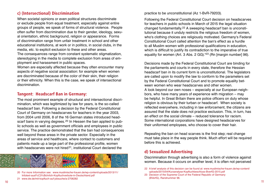### **c) (Intersectional) Discrimination**

When societal opinions or even political structures discriminate or exclude people from equal treatment, especially against entire groups of people, we speak of forms of structural violence. People often suffer from discrimination due to their gender, ideology, sexual orientation, ethnic background, religion or appearance. Forms of discrimination range from unfair treatment in school and other educational institutions, at work or in politics, in social clubs, in the media, etc. to explicit exclusion to these and other areas.

The consequences range from constant systematic stigmatization, stereotyping in the media to complete exclusion from areas of employment and harassment in public spaces.

Women are especially affected because they often encounter many aspects of negative social association: for example when women are discriminated because of the color of their skin, their religion or their ethnicity. When this is the case, we speak of intersectional discrimination.

#### **Tangent: Headscarf Ban in Germany:**

The most prominent example of structural and intersectional discrimination, which was legitimized by law for years, is the so-called headscarf ban. Following a decision by the Federal Constitutional Court of Germany on headscarves for teachers in the year 2003, from 2004 until 2006, 8 of the 16 German states introduced headscarf bans in varying degrees.<sup>20</sup> In Hessen the ban applied to public schools as well as government officials and employees in public service. The practice demonstrated that the ban had consequences well beyond these areas in the private sector. Especially in the areas of service and healthcare, where contact to customers and patients made up a large part of the professional profile, women with headscarves were not hired<sup>21</sup>, institutional Court declared the



20 For more Information see: www.muslimische-frauen.de/wp-content/uploads/2013/11/ Infotext-ausf%C3%Bchrlich-Kopftuchverbote-in-Deutschland.pdf

21 www.dw.de/mit-kopftuch-auf-jobsuche/a-2706282

practice to be unconstitutional (Az 1-BvR-79203).

Following the Federal Constitutional Court decision on headscarves for teachers in public schools in March of 2015 the legal situation changed fundamentally.22 A sweeping headscarf ban is unconstitutional because it unduly restricts the religious freedom of women, who's clothing choices are religiously motivated. Germany's Federal Constitutional Court called attention the ban's effect as a hurdle to all Muslim women with professional qualifications in education, which is difficult to justify its contradiction to the imperative of true equality for women (Art. 3 Abs. 2 GG)."23 (Rn [margin number] 96).

Decisions made by the Federal Constitutional Court are binding for the parliaments and courts in every state, therefore the Hessian headscarf ban in its current form is unconstitutional. The legislators are called upon to modify the law to conform to the parameters set by the Federal Constitutional Court and to promote equality between women who wear headscarves and other women. A look beyond our own noses – especially at our European neighbors, who have many years of experience with migration – may be helpful. In Great Britain there are police officers on duty whose religion is obvious by their turban or headscarf. When society is reflected everywhere, including in law enforcement, the citizens are assured that the state does not practice exclusion. This, in turn, has an effect on the social climate – reduced tolerance for racism. Some international corporations have designed headscarves for their uniformed employees, who choose to cover their hair.

Repealing the ban on head scarves is the first step; real change must take place in the way people think. Much effort will be required before this is achieved.

#### **d) Sexualized Advertising**

Discrimination through advertising is also a form of violence against women. Because it occurs on another level, it is often not perceived

<sup>22</sup> A brief analysis of this decision can be found at: www.muslimische-frauen.de/wp-content/ uploads/2015/04/Kurzanalyse-Kopftuchbeschluss-BverfG-2015.pdf

<sup>23</sup> Decision of the Supreme Court of the Federal Republic of Germany (BVerfG), Randnummer 96.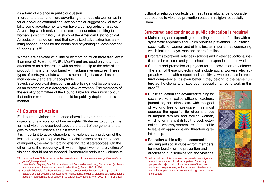as a form of violence in public discussion.

In order to attract attention, advertising often depicts women as inferior and/or as commodities, sex objects or suggest sexual availability some advertisements even have a pornographic character. Advertising which makes use of sexual innuendos insulting to women is discriminatory. A study of the American Psychological Association has determined that sexualized advertizing has alarming consequences for the health and psychological development of young girls.<sup>24</sup>

Women are depicted with little or no clothing much more frequently than men (21% women<sup>25</sup>; 6% Men<sup>26</sup>) and are used only to attract attention or as a decoration with no relationship to the advertised product. This is often combined with submissive gestures. These types of portrayal violate women's human dignity as well as common decency and are unacceptable.

Sexist, stereotypical depictions in advertising must be considered as an expression of a derogatory view of women. The members of the equality committee of the Round Table for Integration concur that neither women nor men should be publicly depicted in this manner.

# **4) Course of Action**

Each form of violence mentioned above is an affront to human dignity and is a violation of human rights. Strategies to combat the forms of violence described above are a part of the general strategies to prevent violence against women.

It is important to avoid characterizing violence as a problem of the less educated, or people of lower social classes or as the concern of migrants, thereby reinforcing existing racist stereotypes. On the other hand, the frequency with which migrant women are victims of violence should not be tabooed. Prematurely attributing violence to

- 24 Report of the APA Task Force on the Sexualization of Girls, www.apa.org/pi/women/programs/girls/report-full.pdf
- 25 Hasenteufel, Regina, Das Bild von Mann und Frau in der Werbung, Dissertation (a dissertaion on images of men and women in advertising), Bonn 1980, S. 230
- 26 Horvath, Michaela, Die Darstellung der Geschlechter in der Fernsehwerbung eine Inhaltsanalyse zur geschlechtsspezifischen Menschendarstellung, Diplomarbeit (a bachelor's thesis on representations of gender in television advertising ), Wien 2002, S. 118 und 121

cultural or religious contexts can result in a reluctance to consider approaches to violence prevention based in religion, especially in Islam.

#### **Structured and continuous public education is required:**

- **Maintaining and expanding counseling centers for families with a** systematic approach and which prioritize prevention. Counseling specifically for women and girls is just as important as counseling which includes boys, men and entire families.
- **Programs to prevent violence in schools and in other educational ins**titutions for children and youth should be expanded and networked.
- Support and promotion of projects for the prevention of violence. The staff of these projects must include social workers who approach women with respect and sensitivity, who possess intercultural competence; it's even better if they belong to the same culture as the clients and have been specially trained to work in this area.27
- $\blacksquare$  Public education and advanced training for social workers, police officers, teachers, journalists, politicians, etc. with the goal of working free of prejudice. This must address the specific life circumstances of migrant families and foreign women, which often make it difficult to seek external help, whereby women are often unable to leave an oppressive and threatening relationship.
- **E** Education within religious communities and migrant social clubs – from members for members! - for the prevention and eradication of discrimination and violence
- 27 Allow us to add this comment: people who are migrants are not per se interculturally competent. Especially, people who reject their culture because of their own unpleasant experiences, for instance are often have no empathy for people who maintain a strong connection to their culture.

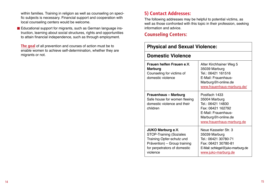within families. Training in religion as well as counseling on specific subjects is necessary. Financial support and cooperation with local counseling centers would be welcome.

Educational support for migrants, such as German language instruction, learning about social structures, rights and opportunities to attain financial independence, such as through employment.

**The goal** of all prevention and courses of action must be to enable women to achieve self-determination, whether they are migrants or not.

# **5) Contact Addresses:**

The following addresses may be helpful to potential victims, as well as those confronted with this topic in their profession, seeking information and advice.

# **Counseling Centers:**

| <b>Physical and Sexual Violence:</b>                                                                                                                                |                                                                                                                                                     |
|---------------------------------------------------------------------------------------------------------------------------------------------------------------------|-----------------------------------------------------------------------------------------------------------------------------------------------------|
| <b>Domestic Violence</b>                                                                                                                                            |                                                                                                                                                     |
| Frauen helfen Frauen e.V.<br><b>Marburg</b><br>Counseling for victims of<br>domestic violence                                                                       | Alter Kirchhainer Weg 5<br>35039 Marburg<br>Tel.: 06421 161516<br>E-Mail: Frauenhaus-<br>Marburg@t-online.de<br>www.frauenhaus-marburg.de/          |
| <b>Frauenhaus - Marburg</b><br>Safe house for women fleeing<br>domestic violence and their<br>children                                                              | Postfach 1433<br>35004 Marburg<br>Tel.: 06421 14830<br>Fax: 06421 162792<br>E-Mail: Frauenhaus-<br>Marburg@t-online.de<br>www.frauenhaus-marburg.de |
| <b>JUKO Marburg e.V.</b><br><b>STOP-Training (Soziales</b><br>Training Opfer-schutz und<br>Prävention) - Group training<br>for perpetrators of domestic<br>violence | Neue Kasseler Str. 3<br>35039 Marburg<br>Tel.: 06421 30780-71<br>Fax: 06421 30780-81<br>E-Mail: schlegel@juko-marburg.de<br>www.juko-marburg.de     |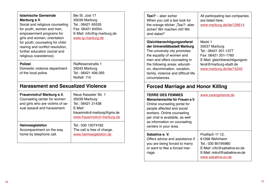| Islamische Gemeinde<br>Marburg e.V.<br>Social and religious counseling<br>for youth, women and men,<br>empowerment programs for<br>girls and women, orientation<br>for youth, counseling for child-<br>rearing and conflict resolution,<br>further education (social and<br>religious coexistence). | Bei St. Jost 17<br>35039 Marburg<br>Tel.: 06421 65535<br>Fax: 06421 64554<br>E-Mail: info@ig-marburg.de<br>www.ig-marburg.de        |  |
|-----------------------------------------------------------------------------------------------------------------------------------------------------------------------------------------------------------------------------------------------------------------------------------------------------|-------------------------------------------------------------------------------------------------------------------------------------|--|
| <b>Polizei</b><br>Domestic violence department<br>of the local police                                                                                                                                                                                                                               | Raiffeisenstraße 1<br>35043 Marburg<br>Tel.: 06421 406-265<br>Notfall: 110                                                          |  |
| <b>Harassment and Sexualized Violence</b>                                                                                                                                                                                                                                                           |                                                                                                                                     |  |
| Frauennotruf Marburg e.V.<br>Counseling center for women<br>and girls who are victims of se-<br>xual assault and harassment.                                                                                                                                                                        | Neue Kasseler Str. 1<br>35039 Marburg<br>Tel.: 06421 21438<br>E-Mail:<br>frauennotruf-marburg@gmx.de<br>www.frauennotruf-marburg.de |  |
| Heimwegtelefon<br>Accompaniment on the way<br>home by telephone call.                                                                                                                                                                                                                               | Tel.: 030 12074182<br>The call is free of charge.<br>www.heimwegtelefon.de                                                          |  |

| All participating taxi companies<br>are listed here:<br>www.marburg.de/de/126614                                                                               |  |  |
|----------------------------------------------------------------------------------------------------------------------------------------------------------------|--|--|
| Markt 1<br>35037 Marburg<br>Tel.: 06421 201-1377<br>Fax: 06421 201-1760<br>E-Mail: gleichberechtigungsre-<br>ferat@marburg-stadt.de<br>www.marburg.de/de/15240 |  |  |
| <b>Forced Marriage and Honor Killing</b>                                                                                                                       |  |  |
| www.zwangsheirat.de                                                                                                                                            |  |  |
| Postfach 11 12,<br>61268 Wehrheim<br>Tel.: 030 80195980<br>E-Mail: info@sabatina-ev.de<br>E-Mail: notruf@sabatina-ev.de<br>www.sabatina-ev.de                  |  |  |
|                                                                                                                                                                |  |  |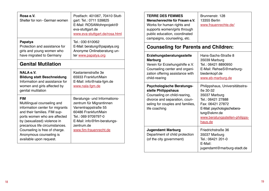| Rosa e.V.<br>Shelter for non - German women                                                                                                                                                                                                                                                          | Postfach: 401067, 70410 Stutt-<br>gart: Tel.: 0711 539825<br>E-Mail: ROSAWohnprojekt@<br>eva-stuttgart.de<br>www.eva-stuttgart.de/rosa.html                                                            |  |
|------------------------------------------------------------------------------------------------------------------------------------------------------------------------------------------------------------------------------------------------------------------------------------------------------|--------------------------------------------------------------------------------------------------------------------------------------------------------------------------------------------------------|--|
| <b>Papatya</b><br>Protection and assistance for<br>girls and young women who<br>have migrated to Germany                                                                                                                                                                                             | Tel.: 030 610062<br>E-Mail: beratung@papatya.org<br>Anonyme Onlineberatung un-<br>ter www.papatya.org                                                                                                  |  |
| <b>Genital Mutilation</b>                                                                                                                                                                                                                                                                            |                                                                                                                                                                                                        |  |
| <b>NALA e.V.</b><br><b>Bildung statt Beschneidung</b><br>Information and assistance for<br>women and girls affected by<br>genital mutilation                                                                                                                                                         | Kastanienstraße 3e<br>65933 Frankfurt/Main<br>E-Mail: info@nala-fgm.de<br>www.nala-fgm.de                                                                                                              |  |
| <b>FIM</b><br>Multilingual counseling and<br>information center for migrants<br>and their families. FIM sup-<br>ports women who are affected<br>by (sexualized) violence in<br>precarious life circumstances.<br>Counseling is free of charge.<br>Anonymous counseling is<br>available upon request. | Beratungs- und Informations-<br>zentrum für Migrantinnen<br>Varrentrappstraße 55<br>60486 Frankfurt/Main<br>Tel.: 069 9709797-0<br>E-Mail: info@fim-beratungs-<br>zentrum.de<br>www.fim-frauenrecht.de |  |

| <b>TERRE DES FEMMES</b><br>Menschenrechte für Frauen e.V.<br>Works for human rights and<br>supports women/girls through<br>public education, coordinated<br>campaigns, counseling, etc.                                                                                                                                                              | Brunnenstr, 128<br><b>13355 Berlin</b><br>www.frauenrechte.de/                                                                                                                                                                                                                                                                    |
|------------------------------------------------------------------------------------------------------------------------------------------------------------------------------------------------------------------------------------------------------------------------------------------------------------------------------------------------------|-----------------------------------------------------------------------------------------------------------------------------------------------------------------------------------------------------------------------------------------------------------------------------------------------------------------------------------|
| <b>Counseling for Parents and Children:</b>                                                                                                                                                                                                                                                                                                          |                                                                                                                                                                                                                                                                                                                                   |
| Erziehungsberatungsstelle<br><b>Marburg</b><br>Verein für Erziehungshilfe e.V.<br>Counseling center and organi-<br>zation offering assistance with<br>child-rearing<br><b>Psychologische Beratungs-</b><br>stelle Philippshaus<br>Counseling on child-rearing,<br>divorce and separation, coun-<br>seling for couples and families,<br>life coaching | Hans-Sachs-Straße 8<br>35039 Marburg<br>Tel.: 06421 8890950<br>E-Mail: RehseS@marburg-<br>biedenkopf.de<br>www.eb-marburg.de<br>Philippshaus, Universitätsstra-<br>Be 30-32<br>35037 Marburg<br>Tel.: 06421 27888<br>Fax: 06421 27872<br>E-Mail: psychologischebera-<br>tung@ekmr.de<br>www.beratungsstellen-philipps-<br>haus.de |
| <b>Jugendamt Marburg</b><br>Department of child protection<br>(of the city government)                                                                                                                                                                                                                                                               | Friedrichstraße 36<br>35037 Marburg<br>Tel.: 06421 201-0<br>E-Mail:<br>jugendamt@marburg-stadt.de                                                                                                                                                                                                                                 |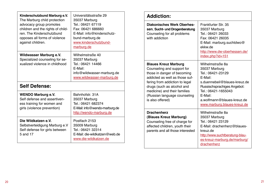| Kinderschutzbund Marburg e.V.<br>The Marburg child protection<br>advocacy group promotes<br>children and the rights of child-<br>ren. The Kinderschutzbund<br>opposes all forms of violence<br>against children. | Universitätsstraße 29<br>35037 Marburg<br>Tel.: 06421 67119<br>Fax: 06421 686660<br>E-Mail: info@kinderschutz-<br>bund-marburg.de<br>www.kinderschutzbund-<br>marburg.de |
|------------------------------------------------------------------------------------------------------------------------------------------------------------------------------------------------------------------|--------------------------------------------------------------------------------------------------------------------------------------------------------------------------|
| Wildwasser Marburg e.V.<br>Specialized counseling for se-<br>xualized violence in childhood                                                                                                                      | Wilhelmstraße 40<br>35037 Marburg<br>Tel.: 06421 14466<br>E-Mail:<br>info@wildwasser-marburg.de<br>www.wildwasser-marburg.de                                             |
| <b>Self Defense:</b>                                                                                                                                                                                             |                                                                                                                                                                          |
| <b>WENDO Marburg e.V.</b><br>Self defense and assertiven-<br>ess training for women and<br>girls (violence prevention)                                                                                           | Bahnhofstr. 31A<br>35037 Marburg<br>Tel.: 06421 682374<br>E-Mail: info@wendo-marburg.de<br>http://wendo-marburg.de                                                       |
| Die Wildkatzen e.V.<br>Selbstverteidigung Marburg e.V<br>Self defense for girls between<br>5 and 17                                                                                                              | Postfach 2153<br>35009 Marburg<br>Tel.: 06421 32314<br>E-Mail: die-wildkatzen@web.de<br>www.die-wildkatzen.de                                                            |

| <b>Addiction:</b>                                                                                                                                                                                                                                                              |                                                                                                                                                                                                                                             |
|--------------------------------------------------------------------------------------------------------------------------------------------------------------------------------------------------------------------------------------------------------------------------------|---------------------------------------------------------------------------------------------------------------------------------------------------------------------------------------------------------------------------------------------|
| <b>Diakonisches Werk Oberhes-</b><br>sen, Sucht- und Drogenberatung<br>Counseling for all problems<br>with addiction                                                                                                                                                           | Frankfurter Str. 35<br>35037 Marburg<br>Tel.: 06421 26033<br>Fax: 06421 26035<br>E-Mail: marburg.suchtdwo@<br>ekkw de<br>http://www.dw-oberhessen.de/<br>index.php?id=151                                                                   |
| <b>Blaues Kreuz Marburg</b><br>Counseling and support for<br>those in danger of becoming<br>addicted as well as those suf-<br>fering from addiction to legal<br>drugs (such as alcohol and<br>medicine) and their families<br>(Russian language counseling<br>is also offered) | Wilhelmstraße 8a<br>35037 Marburg<br>Tel.: 06421-23129<br>F-Mail <sup>-</sup><br>s.duennebeil@blaues-kreuz.de<br>Russischsprachiges Angebot:<br>Tel.: 06421-1655043<br>E-Mail:<br>a.wolfmann@blaues-kreuz.de<br>www.marburg.blaues-kreuz.de |
| <b>Drachenherz</b><br>(Blaues Kreuz Marburg)<br>Counseling free of charge for<br>affected children, youth their<br>parents and all those interested                                                                                                                            | Wilhelmstraße 8a<br>35037 Marburg<br>Tel.: 06421 23129<br>E-Mail: drachenherz@blaues-<br>kreuz de<br>http://www.suchtberatung-blau-<br>es-kreuz-marburg.de/marburg/<br>drachenherz                                                          |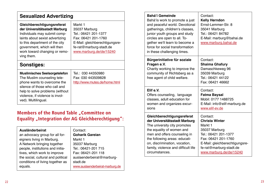| Gleichberechtigungsreferat<br>Markt 1<br>der Universitätsstadt Marburg<br>35037 Marburg<br>Tel.: 06421 201-1377<br>Individuals may submit comp-<br>laints about sexist advertizing<br>Fax: 06421 201-1760<br>to this department of the city<br>E-Mail: gleichberechtigungsre-<br>government, which will then<br>fe-rat@marburg-stadt.de<br>work toward changing or remo-<br>www.marburg.de/de/15240 | <b>Sexualized Advertizing</b>                                                                                                                                                                                                                                       |                                                                                                                                                      |
|-----------------------------------------------------------------------------------------------------------------------------------------------------------------------------------------------------------------------------------------------------------------------------------------------------------------------------------------------------------------------------------------------------|---------------------------------------------------------------------------------------------------------------------------------------------------------------------------------------------------------------------------------------------------------------------|------------------------------------------------------------------------------------------------------------------------------------------------------|
|                                                                                                                                                                                                                                                                                                                                                                                                     | ving them.                                                                                                                                                                                                                                                          |                                                                                                                                                      |
| <b>Sonstiges:</b>                                                                                                                                                                                                                                                                                                                                                                                   |                                                                                                                                                                                                                                                                     |                                                                                                                                                      |
| <b>Muslimisches Seelsorgetelefon</b><br>Tel.: 030 44350980<br>The Muslim counseling tele-<br>Fax: 030 443509828<br>phone wants to overcome the<br>http://www.mutes.de/home.html<br>silence of those who call and<br>help to solve problems (without<br>violence, if violence is invol-<br>ved). Multilingual.                                                                                       |                                                                                                                                                                                                                                                                     |                                                                                                                                                      |
|                                                                                                                                                                                                                                                                                                                                                                                                     | <b>Ausländerbeirat</b><br>an advocacy group for all for-<br>eigners living in Marburg.<br>A Network bringing together<br>people, institutions and initia-<br>tives, which work to improve<br>the social, cultural and political<br>conditions of living together as | Contact:<br><b>Goharik Gareian</b><br>Markt 1<br>35037 Marburg<br>Tel.: 06421-201 715<br>Fax: 06421-201 118<br>auslaenderbeirat@marburg-<br>stadt.de |

| <b>Bahá'í Gemeinde</b><br>Bahá'ís work to promote a just<br>and peaceful world. Devotional<br>gatherings, children's classes,<br>junior youth groups and study<br>circles are open to all. To-<br>gether we'll learn to become a<br>force for social transformation<br>in these challenging times. | Contact:<br><b>Kelly Herndon</b><br>Ernst-Lemmer-Str. 8<br>35041 Marburg<br>Tel.: 06421 84782<br>E-Mail: marburg@bahai.de<br>www.marburg.bahai.de                                                    |
|----------------------------------------------------------------------------------------------------------------------------------------------------------------------------------------------------------------------------------------------------------------------------------------------------|------------------------------------------------------------------------------------------------------------------------------------------------------------------------------------------------------|
| Bürgerinitiative für soziale<br>Fragen e.V.<br>Charity working to improve the<br>community of Richtsberg as a<br>free agent of child welfare.                                                                                                                                                      | Contact:<br><b>Shaima Ghafury</b><br>Damaschkeweg 96<br>35039 Marburg<br>Tel.: 06421 44122<br>Fax: 06421 46662                                                                                       |
| Elif e.V.<br>Offers counseling, language<br>classes, adult education for<br>women and organizes excur-<br>sions                                                                                                                                                                                    | Contact:<br><b>Fatma Baysal</b><br>Mobil: 0177 1488725<br>E-Mail: info@elif-marburg.de<br>www.elif-ev.de                                                                                             |
| Gleichberechtigungsreferat<br>der Universitätsstadt Marburg<br>The university city promotes<br>the equality of women and<br>men and offers counseling in<br>the following areas: educati-<br>on, discrimination, vocation,<br>family, violence and difficult life<br>circumstances.                | Contact:<br><b>Christa Winter</b><br>Markt 1<br>35037 Marburg<br>Tel.: 06421 201-1377<br>Fax: 06421 201-1760<br>E-Mail: gleichberechtigungsre-<br>fe-rat@marburg-stadt.de<br>www.marburg.de/de/15240 |

equals.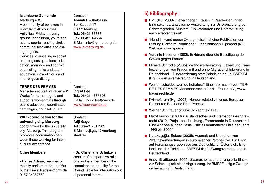| <b>Islamische Gemeinde</b><br>Marburg e.V.<br>A community of believers in<br>Islam from 40 countries.<br>Activities: Friday prayers,<br>groups for children, youth and<br>adults, sports, reading circles,<br>communal festivities and dia-<br>log projects.<br>Services: counseling in social<br>and religious questions, edu-<br>cation, marriage and conflict<br>counseling, talks and adult<br>education, intrareligious and<br>interreligous dialog, | Contact:<br><b>Asmah El-Shabassy</b><br>Bei St. Jost 17<br>35039 Marburg<br>Tel.: 06421 65535<br>Fax: 06421 64554<br>E-Mail: info@ig-marburg.de<br>www.ig-marburg.de                     |
|-----------------------------------------------------------------------------------------------------------------------------------------------------------------------------------------------------------------------------------------------------------------------------------------------------------------------------------------------------------------------------------------------------------------------------------------------------------|------------------------------------------------------------------------------------------------------------------------------------------------------------------------------------------|
| <b>TERRE DES FEMMES</b><br>Menschenrechte für Frauen e.V.<br>Works for human rights and<br>supports women/girls through<br>public education, coordinated<br>campaigns, counseling, etc.                                                                                                                                                                                                                                                                   | Contact:<br><b>Ingrid Lee</b><br>Tel.: 06421 1867506<br>E-Mail: Ingrid.lee@web.de<br>www.frauenrechte.de                                                                                 |
| WIR - coordination for the<br>university city, Marburg.<br>coordination for the university<br>city, Marburg. This program<br>promotes coordination bet-<br>ween those working for inter-<br>cultural acceptance.                                                                                                                                                                                                                                          | Contact:<br><b>Adji Gaye</b><br>Tel.: 06421 2011905<br>E-Mail: adji.gaye@marburg-<br>stadt de                                                                                            |
| <b>Other Members</b><br>- Halise Adsan, member of<br>the city parliament for the Mar-<br>burger Linke, h.adsan@gmx.de,<br>0157-34357559                                                                                                                                                                                                                                                                                                                   | - Dr. Christiane Schulze is<br>scholar of comparative religi-<br>ons and is a member of the<br>committee on equality for the<br>Round Table for Integration out<br>of personal interest. |

# **6) Bibliography :**

- BMFSFJ (2009): Gewalt gegen Frauen in Paarbeziehungen. Eine sekundäranalytische Auswertung zur Differenzierung von Schweregraden, Mustern, Risikofaktoren und Unterstützung nach erlebter Gewalt.
- "Hand in Hand gegen Zwangsheirat" ist eine Publikation der Stiftung Plattform Islamischer Organisationen Rijnmond (NL). Website: www.spior.nl
- Vereinte Nationen (1993): Erklärung über die Beseitigung der Gewalt gegen Frauen.
- Monika Schröttle (2005): Zwangsverheiratung, Gewalt und Paarbeziehungen von Frauen mit und ohne Migrationshintergrund in Deutschland – Differenzierung statt Polarisierung. In: BMFSFJ (Hg.): Zwangsverheiratung in Deutschland.
- Wer entscheidet, wen du heiratest? Eine Information von: TER-RE DES FEMMES Menschenrechte für die Frauen e.V., www. frauenrechte.de
- Kvinnoforum (Hg.: 2005): Honour related violence. European Ressource Book and Best Practice.
- Werner Schiffauer (2005): Schlachtfeld Frau.
- Max-Planck-Institut für ausländisches und internationales Strafrecht (2010): Projektbeschreibung "Ehrenmorde in Deutschland. Eine Analyse auf der Basis justiziell bearbeiteter Fälle der Jahre 1996 bis 2006."
- Karakaşoğlu, Subaşı (2005): Ausmaß und Ursachen von Zwangsverheiratungen in europäischer Perspektive. Ein Blick auf Forschungsergebnisse aus Deutschland, Österreich, England und der Türkei. In: BMFSFJ (Hg.): Zwangsverheiratung in Deutschland.
- Gaby Straßburger (2005): Zwangsheirat und arrangierte Ehe zur Schwierigkeit einer Abgrenzung. In: BMFSFJ (Hg.): Zwangsverheiratung in Deutschland.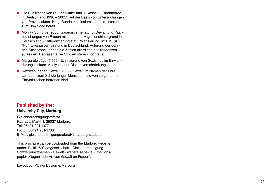- Die Publikation von D. Oberwittler und J. Kasselt: "Ehrenmorde in Deutschland 1996 – 2005", auf der Basis von Untersuchungen von Prozessakten, Hrsg. Bundeskriminalamt, steht im Internet zum Download bereit.
- Monika Schröttle (2005): Zwangsverheiratung, Gewalt und Paar beziehungen von Frauen mit und ohne Migrationshintergrund in Deutschland – Differenzierung statt Polarisierung. In: BMFSFJ (Hg.): Zwangsverheiratung in Deutschland. Aufgrund der gerin gen Stichprobe können die Zahlen allerdings nur Tendenzen aufzeigen. Repräsentative Studien stehen noch aus.
- Margarete Jäger (1999): Ethnisierung von Sexismus im Einwan derungsdiskurs. Analyse einer Diskursverschränkung.
- Netzwerk gegen Gewalt (2009): Gewalt im Namen der Ehre, Leitfaden zum Schutz junger Menschen, die von so genannten Ehrverbrechen betroffen sind.

## **Published by the:**

#### **University City, Marburg**

**Gleichberechtigungsreferat** Rathaus, Markt 1, 35037 Marburg, Tel: 06421 201-1377 Fax.: 06421 201-1760 E-Mail: gleichberechtigungsreferat@marburg-stadt.de

This brochure can be dowloaded from the Marburg website: under: Politik & Stadtgesellschaft - Gleichberechtigung - Schwerpunktthemen - Gewalt - weitere Aspekte - Positions papier "Gegen jede Art von Gewalt an Frauen".

Layout by: Mbayo Design @Marburg